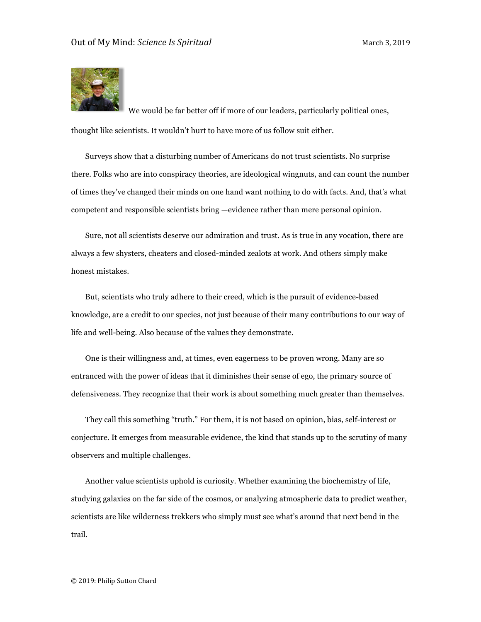

We would be far better off if more of our leaders, particularly political ones, thought like scientists. It wouldn't hurt to have more of us follow suit either.

Surveys show that a disturbing number of Americans do not trust scientists. No surprise there. Folks who are into conspiracy theories, are ideological wingnuts, and can count the number of times they've changed their minds on one hand want nothing to do with facts. And, that's what competent and responsible scientists bring —evidence rather than mere personal opinion.

Sure, not all scientists deserve our admiration and trust. As is true in any vocation, there are always a few shysters, cheaters and closed-minded zealots at work. And others simply make honest mistakes.

But, scientists who truly adhere to their creed, which is the pursuit of evidence-based knowledge, are a credit to our species, not just because of their many contributions to our way of life and well-being. Also because of the values they demonstrate.

One is their willingness and, at times, even eagerness to be proven wrong. Many are so entranced with the power of ideas that it diminishes their sense of ego, the primary source of defensiveness. They recognize that their work is about something much greater than themselves.

They call this something "truth." For them, it is not based on opinion, bias, self-interest or conjecture. It emerges from measurable evidence, the kind that stands up to the scrutiny of many observers and multiple challenges.

Another value scientists uphold is curiosity. Whether examining the biochemistry of life, studying galaxies on the far side of the cosmos, or analyzing atmospheric data to predict weather, scientists are like wilderness trekkers who simply must see what's around that next bend in the trail.